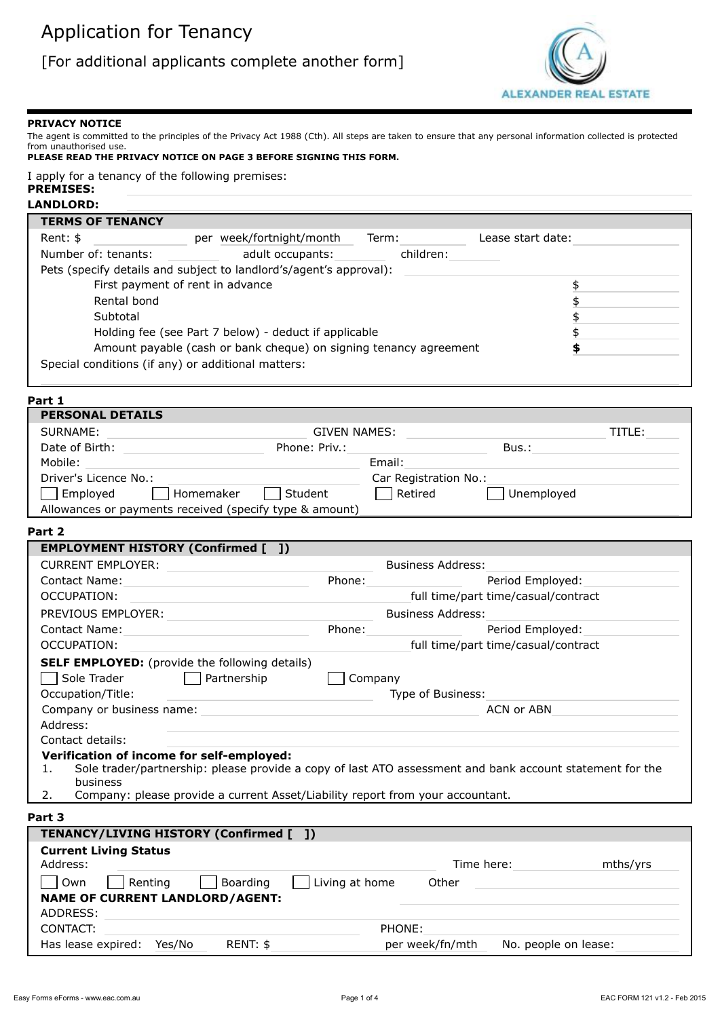

#### **PRIVACY NOTICE**

The agent is committed to the principles of the Privacy Act 1988 (Cth). All steps are taken to ensure that any personal information collected is protected from unauthorised use.

| PLEASE READ THE PRIVACY NOTICE ON PAGE 3 BEFORE SIGNING THIS FORM. |  |
|--------------------------------------------------------------------|--|
|--------------------------------------------------------------------|--|

I apply for a tenancy of the following premises:

#### **PREMISES: LANDLORD:**

| <b>TERMS OF TENANCY</b>                                            |                                                                   |       |           |                   |    |
|--------------------------------------------------------------------|-------------------------------------------------------------------|-------|-----------|-------------------|----|
| Rent: \$                                                           | per week/fortnight/month                                          | Term: |           | Lease start date: |    |
| Number of: tenants:                                                | adult occupants:                                                  |       | children: |                   |    |
| Pets (specify details and subject to landlord's/agent's approval): |                                                                   |       |           |                   |    |
| First payment of rent in advance                                   |                                                                   |       |           |                   | \$ |
| Rental bond                                                        |                                                                   |       |           |                   |    |
| Subtotal                                                           |                                                                   |       |           |                   |    |
|                                                                    | Holding fee (see Part 7 below) - deduct if applicable             |       |           |                   |    |
|                                                                    | Amount payable (cash or bank cheque) on signing tenancy agreement |       |           |                   | S  |
| Special conditions (if any) or additional matters:                 |                                                                   |       |           |                   |    |
|                                                                    |                                                                   |       |           |                   |    |

#### **Part 1**

| <b>PERSONAL DETAILS</b>                                 |               |                       |            |        |
|---------------------------------------------------------|---------------|-----------------------|------------|--------|
| SURNAME:                                                | GIVEN NAMES:  |                       |            | TITLE: |
| Date of Birth:                                          | Phone: Priv.: |                       | Bus.:      |        |
| Mobile:                                                 |               | Email:                |            |        |
| Driver's Licence No.:                                   |               | Car Registration No.: |            |        |
| $\Box$ Employed<br>Homemaker                            | Student       | Retired               | Unemployed |        |
| Allowances or payments received (specify type & amount) |               |                       |            |        |

#### **Part 2**

| <b>EMPLOYMENT HISTORY (Confirmed [ ])</b>                                            |         |                                                                                                          |
|--------------------------------------------------------------------------------------|---------|----------------------------------------------------------------------------------------------------------|
| <b>CURRENT EMPLOYER:</b>                                                             |         | <b>Business Address:</b>                                                                                 |
| Contact Name:                                                                        | Phone:  | Period Employed:                                                                                         |
| OCCUPATION:                                                                          |         | full time/part time/casual/contract                                                                      |
| PREVIOUS EMPLOYER:                                                                   |         | <b>Business Address:</b>                                                                                 |
| <b>Contact Name:</b>                                                                 | Phone:  | Period Employed:                                                                                         |
| OCCUPATION:                                                                          |         | full time/part time/casual/contract                                                                      |
| <b>SELF EMPLOYED:</b> (provide the following details)                                |         |                                                                                                          |
| Sole Trader<br>Partnership                                                           | Company |                                                                                                          |
| Occupation/Title:                                                                    |         | Type of Business:                                                                                        |
| Company or business name:                                                            |         | ACN or ABN                                                                                               |
| Address:                                                                             |         |                                                                                                          |
| Contact details:                                                                     |         |                                                                                                          |
| Verification of income for self-employed:                                            |         |                                                                                                          |
| 1.<br>business                                                                       |         | Sole trader/partnership: please provide a copy of last ATO assessment and bank account statement for the |
| Company: please provide a current Asset/Liability report from your accountant.<br>2. |         |                                                                                                          |
| Part 3                                                                               |         |                                                                                                          |
| TENANCY/LIVING HISTORY (Confirmed [ ])                                               |         |                                                                                                          |

| <b>Current Living Status</b><br>Address:                                               | Time here:                              | mths/yrs |
|----------------------------------------------------------------------------------------|-----------------------------------------|----------|
| Boarding<br>Living at home<br>Rentina<br>Own<br><b>NAME OF CURRENT LANDLORD/AGENT:</b> | Other                                   |          |
| ADDRESS:                                                                               |                                         |          |
| CONTACT:<br>PHONE:                                                                     |                                         |          |
| Has lease expired:<br>RENT: \$<br>Yes/No                                               | per week/fn/mth<br>No. people on lease: |          |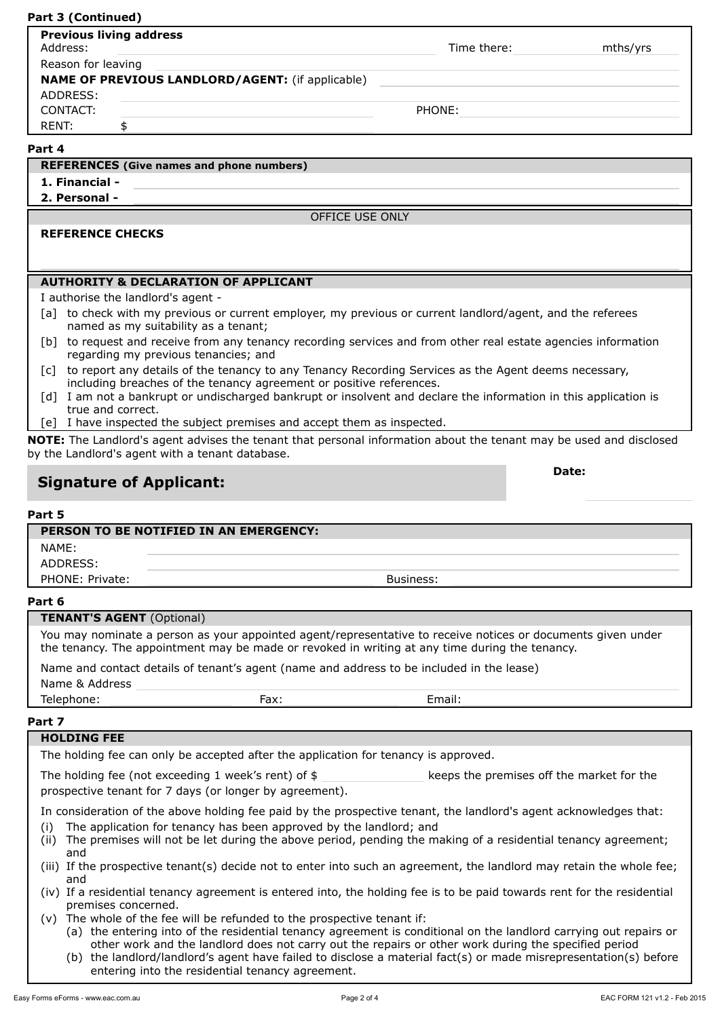#### **Part 3 (Continued)**

| <b>Previous living address</b><br>Address:                                                                                                         | Time there: | mths/yrs |  |  |
|----------------------------------------------------------------------------------------------------------------------------------------------------|-------------|----------|--|--|
| Reason for leaving                                                                                                                                 |             |          |  |  |
| <b>NAME OF PREVIOUS LANDLORD/AGENT:</b> (if applicable)<br>ADDRESS:                                                                                |             |          |  |  |
| CONTACT:                                                                                                                                           | PHONE:      |          |  |  |
| \$<br>RENT:                                                                                                                                        |             |          |  |  |
| Part 4                                                                                                                                             |             |          |  |  |
| <b>REFERENCES</b> (Give names and phone numbers)                                                                                                   |             |          |  |  |
| 1. Financial -                                                                                                                                     |             |          |  |  |
| 2. Personal -                                                                                                                                      |             |          |  |  |
| <b>OFFICE USE ONLY</b>                                                                                                                             |             |          |  |  |
| <b>REFERENCE CHECKS</b>                                                                                                                            |             |          |  |  |
|                                                                                                                                                    |             |          |  |  |
|                                                                                                                                                    |             |          |  |  |
| <b>AUTHORITY &amp; DECLARATION OF APPLICANT</b>                                                                                                    |             |          |  |  |
| I authorise the landlord's agent -                                                                                                                 |             |          |  |  |
| [a] to check with my previous or current employer, my previous or current landlord/agent, and the referees<br>named as my suitability as a tenant; |             |          |  |  |

- [b] to request and receive from any tenancy recording services and from other real estate agencies information regarding my previous tenancies; and
- [c] to report any details of the tenancy to any Tenancy Recording Services as the Agent deems necessary, including breaches of the tenancy agreement or positive references.
- [d] I am not a bankrupt or undischarged bankrupt or insolvent and declare the information in this application is true and correct.
- [e] I have inspected the subject premises and accept them as inspected.

**NOTE:** The Landlord's agent advises the tenant that personal information about the tenant may be used and disclosed by the Landlord's agent with a tenant database.

## **Signature of Applicant:**

#### **Part 5**

# **PERSON TO BE NOTIFIED IN AN EMERGENCY:** NAME: ADDRESS: PHONE: Private: and the state of the state of the state of the Business: Business:

#### **Part 6**

#### **TENANT'S AGENT** (Optional)

You may nominate a person as your appointed agent/representative to receive notices or documents given under the tenancy. The appointment may be made or revoked in writing at any time during the tenancy.

Name and contact details of tenant's agent (name and address to be included in the lease)

Name & Address

Telephone: Fax: Fax: Email: Email: Fax: Email: Email: Email: Email: Email: Email: Email: Email: Email: Email: Email: Email: Email: Email: Email: Email: Email: Email: Email: Email: Email: Email: Email: Email: Email: Email:

#### **Part 7**

#### **HOLDING FEE**

The holding fee can only be accepted after the application for tenancy is approved.

The holding fee (not exceeding 1 week's rent) of \$ keeps the premises off the market for the prospective tenant for 7 days (or longer by agreement).

In consideration of the above holding fee paid by the prospective tenant, the landlord's agent acknowledges that:

- (i) The application for tenancy has been approved by the landlord; and
- (ii) The premises will not be let during the above period, pending the making of a residential tenancy agreement; and
- (iii) If the prospective tenant(s) decide not to enter into such an agreement, the landlord may retain the whole fee; and
- (iv) If a residential tenancy agreement is entered into, the holding fee is to be paid towards rent for the residential premises concerned.
- (v) The whole of the fee will be refunded to the prospective tenant if:
	- (a) the entering into of the residential tenancy agreement is conditional on the landlord carrying out repairs or other work and the landlord does not carry out the repairs or other work during the specified period
	- (b) the landlord/landlord's agent have failed to disclose a material fact(s) or made misrepresentation(s) before entering into the residential tenancy agreement.

**Date:**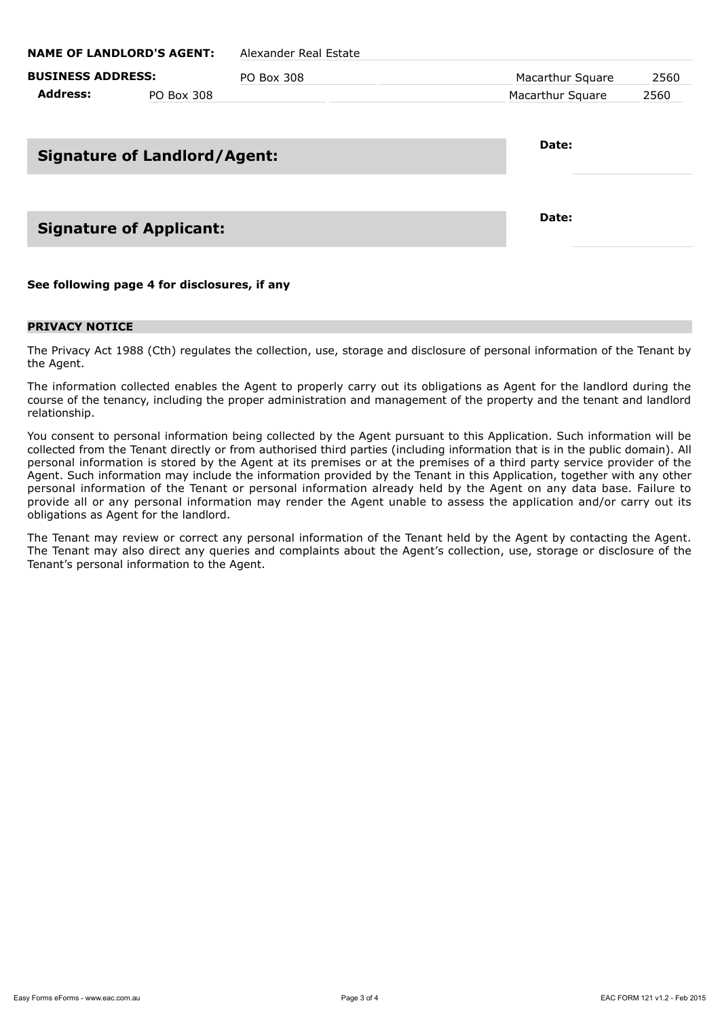| <b>BUSINESS ADDRESS:</b> |            | PO Box 308 | Macarthur Square | 2560 |  |
|--------------------------|------------|------------|------------------|------|--|
| Address:                 | PO Box 308 |            | Macarthur Square | 2560 |  |

## **Signature of Landlord/Agent:**

## **Signature of Applicant:**

**See following page 4 for disclosures, if any**

#### **PRIVACY NOTICE**

The Privacy Act 1988 (Cth) regulates the collection, use, storage and disclosure of personal information of the Tenant by the Agent.

The information collected enables the Agent to properly carry out its obligations as Agent for the landlord during the course of the tenancy, including the proper administration and management of the property and the tenant and landlord relationship.

You consent to personal information being collected by the Agent pursuant to this Application. Such information will be collected from the Tenant directly or from authorised third parties (including information that is in the public domain). All personal information is stored by the Agent at its premises or at the premises of a third party service provider of the Agent. Such information may include the information provided by the Tenant in this Application, together with any other personal information of the Tenant or personal information already held by the Agent on any data base. Failure to provide all or any personal information may render the Agent unable to assess the application and/or carry out its obligations as Agent for the landlord.

The Tenant may review or correct any personal information of the Tenant held by the Agent by contacting the Agent. The Tenant may also direct any queries and complaints about the Agent's collection, use, storage or disclosure of the Tenant's personal information to the Agent.

**Date:**

**Date:**

**NAME OF LANDLORD'S AGENT:** Alexander Real Estate